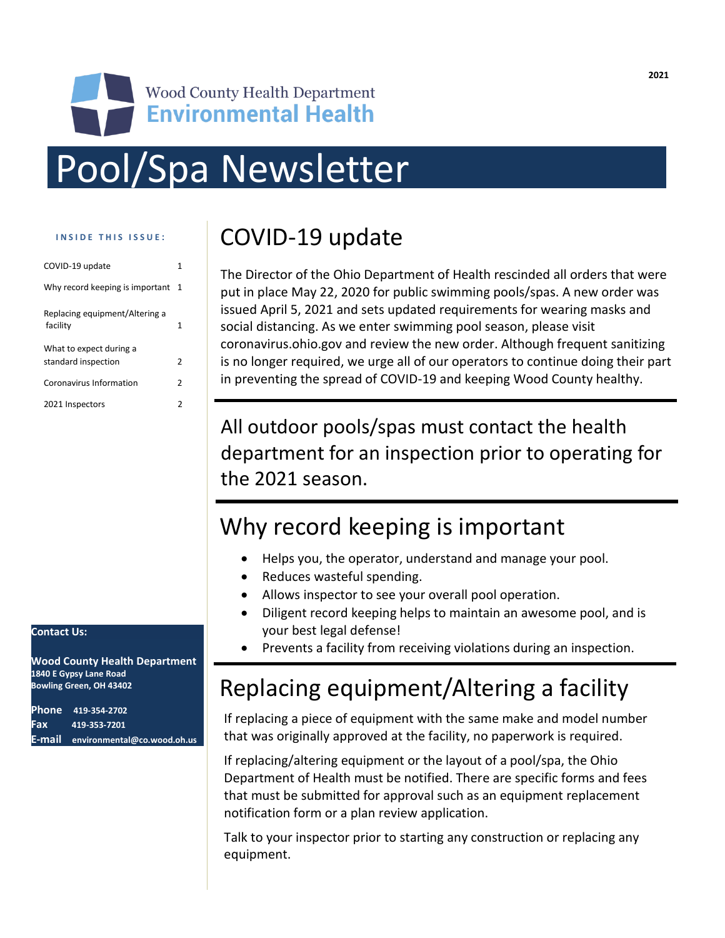# **Environmental Health** Pool/Spa Newsletter

**Wood County Health Department** 

#### **I N S I D E T H I S I S S U E :**

| COVID-19 update                                | 1             |
|------------------------------------------------|---------------|
| Why record keeping is important                | -1            |
| Replacing equipment/Altering a<br>facility     | 1             |
| What to expect during a<br>standard inspection | $\mathcal{P}$ |
| Coronavirus Information                        | 2             |
| 2021 Inspectors                                | 2             |

# COVID-19 update

The Director of the Ohio Department of Health rescinded all orders that were put in place May 22, 2020 for public swimming pools/spas. A new order was issued April 5, 2021 and sets updated requirements for wearing masks and social distancing. As we enter swimming pool season, please visit coronavirus.ohio.gov and review the new order. Although frequent sanitizing is no longer required, we urge all of our operators to continue doing their part in preventing the spread of COVID-19 and keeping Wood County healthy.

All outdoor pools/spas must contact the health department for an inspection prior to operating for the 2021 season.

# Why record keeping is important

- Helps you, the operator, understand and manage your pool.
- Reduces wasteful spending.
- Allows inspector to see your overall pool operation.
- Diligent record keeping helps to maintain an awesome pool, and is your best legal defense!
- Prevents a facility from receiving violations during an inspection.

# Replacing equipment/Altering a facility

If replacing a piece of equipment with the same make and model number that was originally approved at the facility, no paperwork is required.

If replacing/altering equipment or the layout of a pool/spa, the Ohio Department of Health must be notified. There are specific forms and fees that must be submitted for approval such as an equipment replacement notification form or a plan review application.

Talk to your inspector prior to starting any construction or replacing any equipment.

#### **Contact Us:**

**Wood County Health Department 1840 E Gypsy Lane Road Bowling Green, OH 43402**

**Phone 419-354-2702 Fax 419-353-7201 E-mail environmental@co.wood.oh.us**